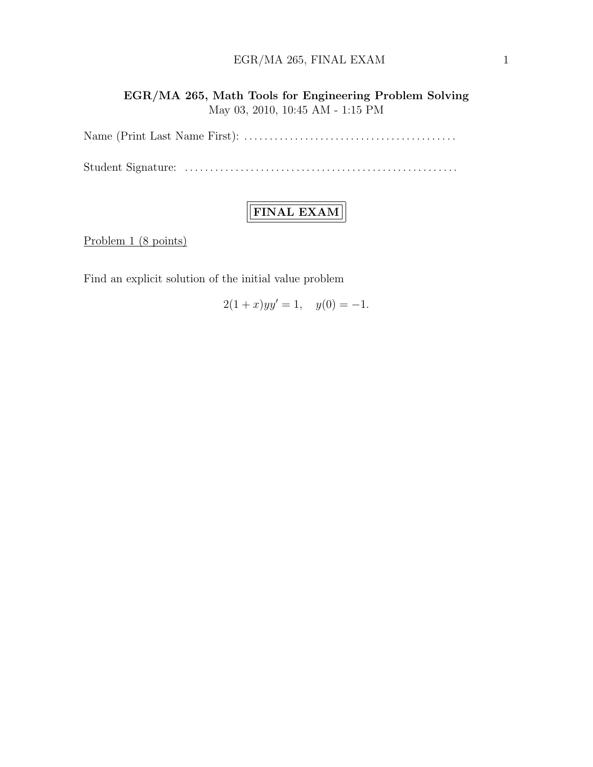### $EGR/MA$  265, FINAL EXAM  $1$

EGR/MA 265, Math Tools for Engineering Problem Solving May 03, 2010, 10:45 AM - 1:15 PM

Name (Print Last Name First): . . . . . . . . . . . . . . . . . . . . . . . . . . . . . . . . . . . . . . . . . .

Student Signature: . . . . . . . . . . . . . . . . . . . . . . . . . . . . . . . . . . . . . . . . . . . . . . . . . . . . . .

## FINAL EXAM

Problem 1 (8 points)

Find an explicit solution of the initial value problem

$$
2(1+x)yy' = 1, \quad y(0) = -1.
$$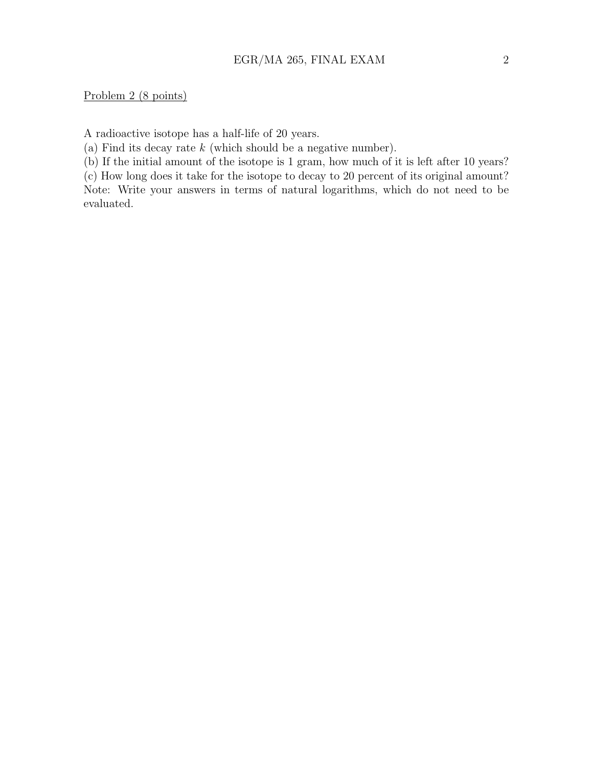Problem 2 (8 points)

A radioactive isotope has a half-life of 20 years.

(a) Find its decay rate  $k$  (which should be a negative number).

(b) If the initial amount of the isotope is 1 gram, how much of it is left after 10 years?

(c) How long does it take for the isotope to decay to 20 percent of its original amount? Note: Write your answers in terms of natural logarithms, which do not need to be evaluated.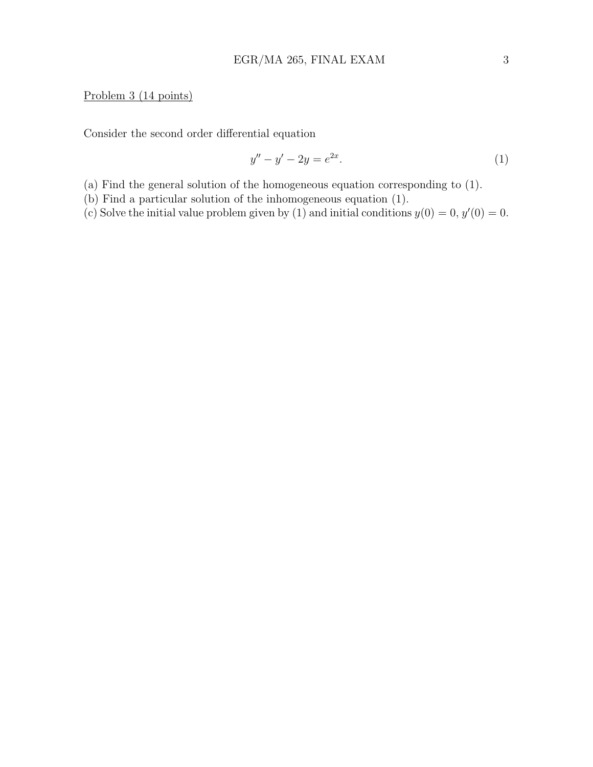#### Problem 3 (14 points)

Consider the second order differential equation

$$
y'' - y' - 2y = e^{2x}.
$$
 (1)

(a) Find the general solution of the homogeneous equation corresponding to (1).

(b) Find a particular solution of the inhomogeneous equation (1).

(c) Solve the initial value problem given by (1) and initial conditions  $y(0) = 0, y'(0) = 0$ .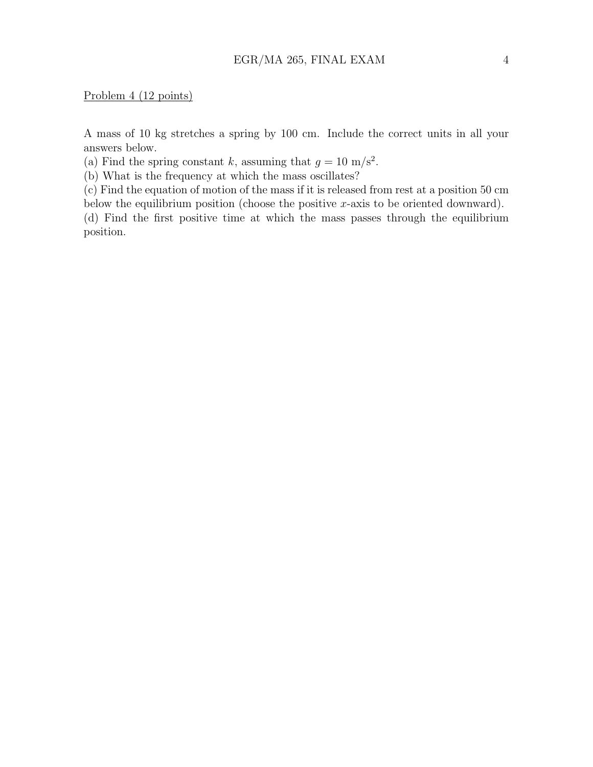#### Problem 4 (12 points)

A mass of 10 kg stretches a spring by 100 cm. Include the correct units in all your answers below.

(a) Find the spring constant k, assuming that  $g = 10 \text{ m/s}^2$ .

(b) What is the frequency at which the mass oscillates?

(c) Find the equation of motion of the mass if it is released from rest at a position 50 cm below the equilibrium position (choose the positive  $x$ -axis to be oriented downward).

(d) Find the first positive time at which the mass passes through the equilibrium position.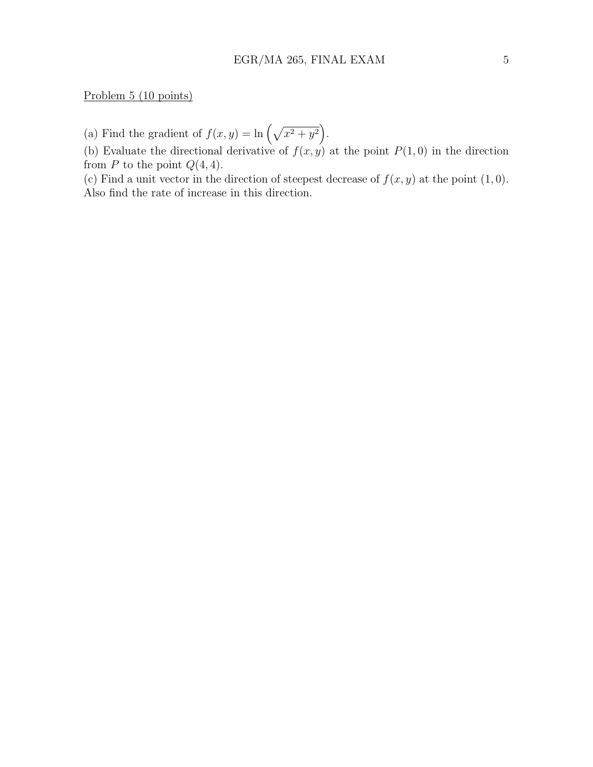Problem 5 (10 points)

(a) Find the gradient of  $f(x, y) = \ln \left(\sqrt{x^2 + y^2}\right)$ .

(b) Evaluate the directional derivative of  $f(x, y)$  at the point  $P(1, 0)$  in the direction from  $P$  to the point  $Q(4, 4)$ .

(c) Find a unit vector in the direction of steepest decrease of  $f(x, y)$  at the point  $(1, 0)$ . Also find the rate of increase in this direction.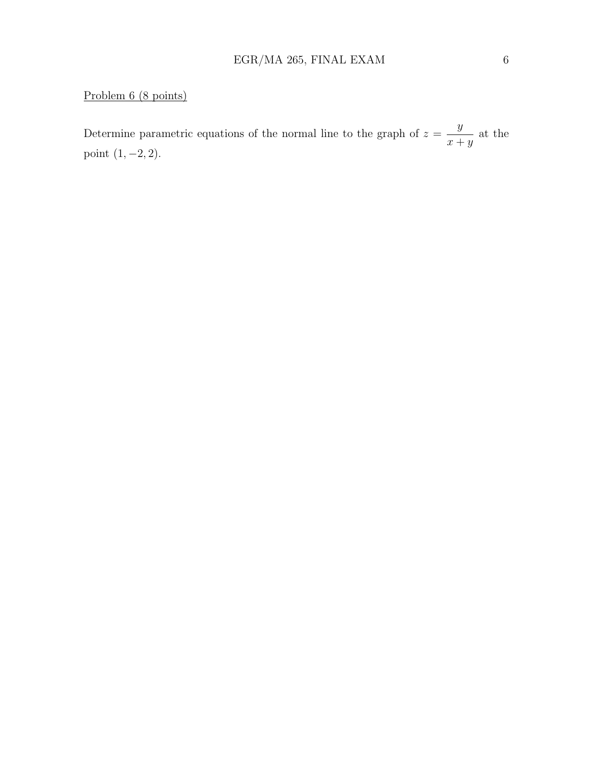## Problem 6 (8 points)

Determine parametric equations of the normal line to the graph of  $z =$  $\hat{y}$  $x + y$ at the point  $(1, -2, 2)$ .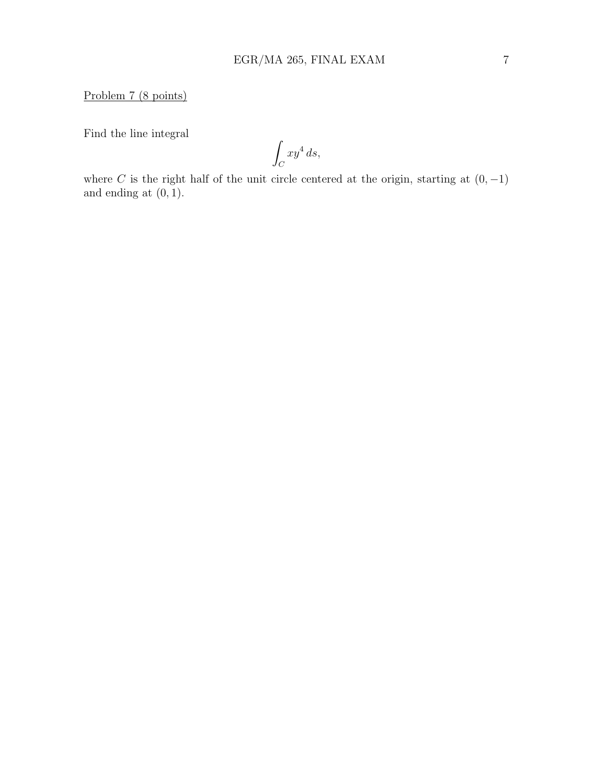Problem 7 (8 points)

Find the line integral

Z  $\mathcal{C}_{0}^{0}$  $xy^4 ds,$ 

where  $C$  is the right half of the unit circle centered at the origin, starting at  $(0, -1)$ and ending at  $(0, 1)$ .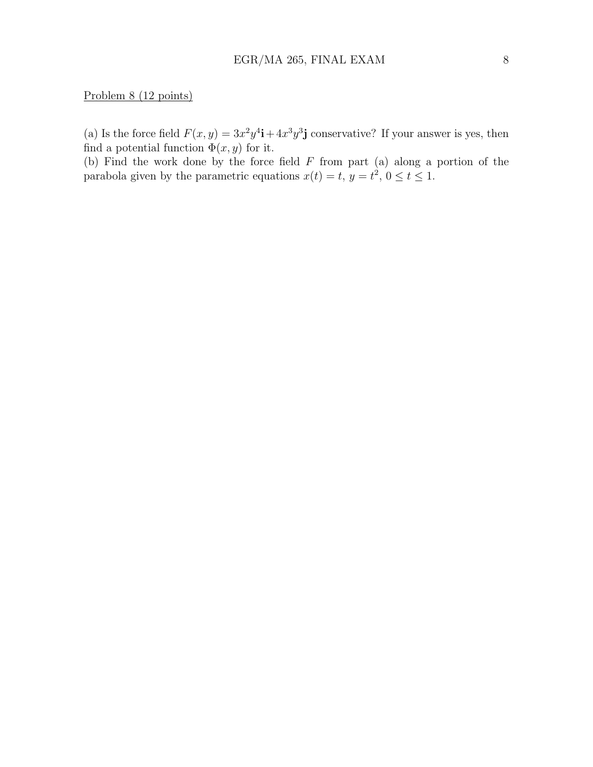Problem 8 (12 points)

(a) Is the force field  $F(x, y) = 3x^2y^4\mathbf{i} + 4x^3y^3\mathbf{j}$  conservative? If your answer is yes, then find a potential function  $\Phi(x, y)$  for it.

(b) Find the work done by the force field  $F$  from part (a) along a portion of the parabola given by the parametric equations  $x(t) = t$ ,  $y = t^2$ ,  $0 \le t \le 1$ .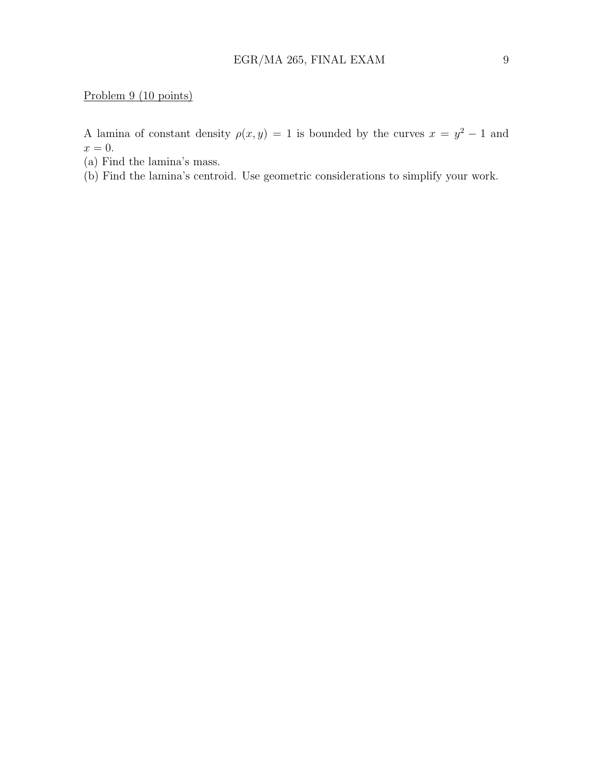Problem 9 (10 points)

A lamina of constant density  $\rho(x, y) = 1$  is bounded by the curves  $x = y^2 - 1$  and  $x=0.$ 

- (a) Find the lamina's mass.
- (b) Find the lamina's centroid. Use geometric considerations to simplify your work.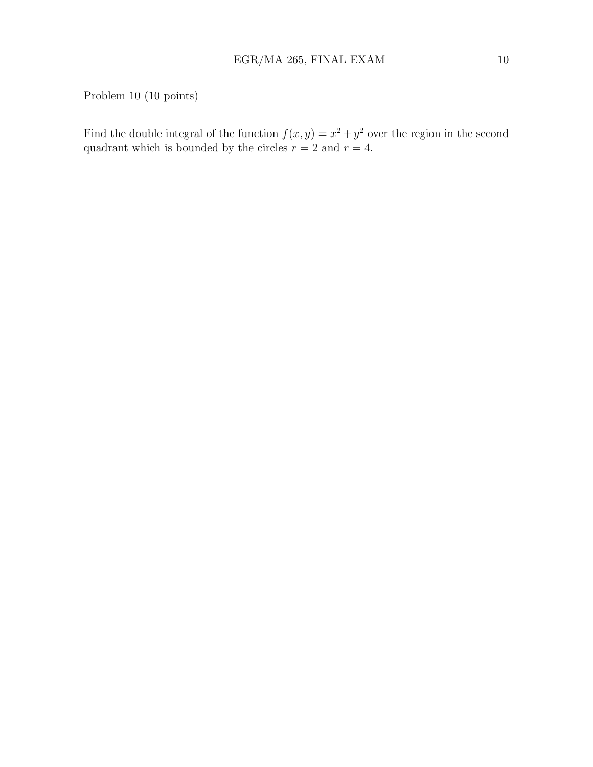### Problem 10 (10 points)

Find the double integral of the function  $f(x, y) = x^2 + y^2$  over the region in the second quadrant which is bounded by the circles  $r = 2$  and  $r = 4$ .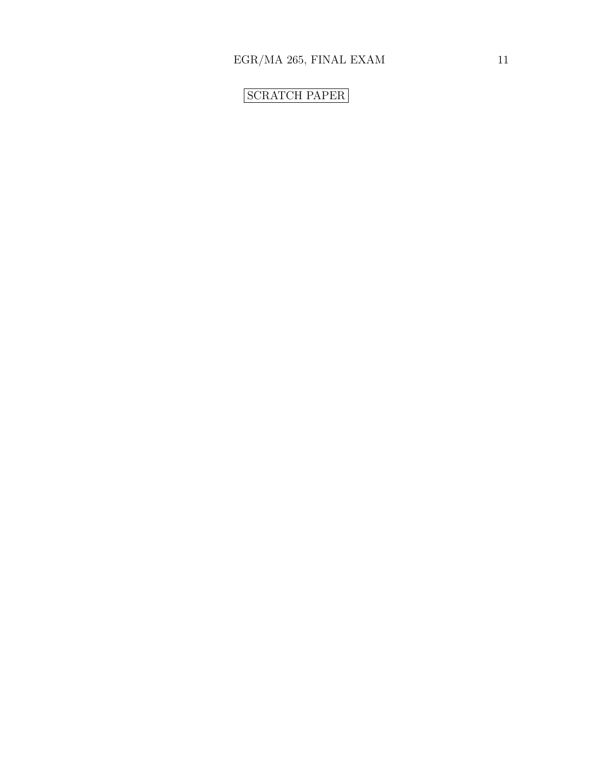# SCRATCH PAPER